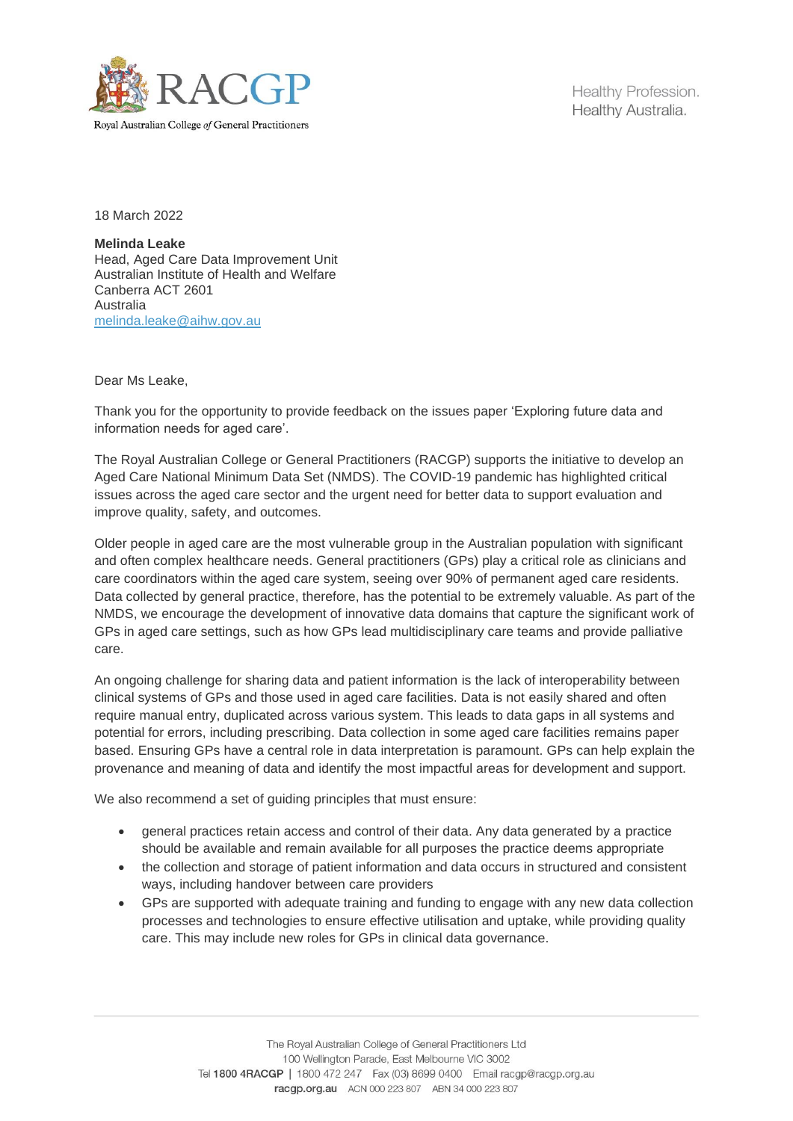

Healthy Profession. Healthy Australia.

18 March 2022

**Melinda Leake** Head, Aged Care Data Improvement Unit Australian Institute of Health and Welfare Canberra ACT 2601 Australia [melinda.leake@aihw.gov.au](mailto:melinda.leake@aihw.gov.au)

Dear Ms Leake,

Thank you for the opportunity to provide feedback on the issues paper 'Exploring future data and information needs for aged care'.

The Royal Australian College or General Practitioners (RACGP) supports the initiative to develop an Aged Care National Minimum Data Set (NMDS). The COVID-19 pandemic has highlighted critical issues across the aged care sector and the urgent need for better data to support evaluation and improve quality, safety, and outcomes.

Older people in aged care are the most vulnerable group in the Australian population with significant and often complex healthcare needs. General practitioners (GPs) play a critical role as clinicians and care coordinators within the aged care system, seeing over 90% of permanent aged care residents. Data collected by general practice, therefore, has the potential to be extremely valuable. As part of the NMDS, we encourage the development of innovative data domains that capture the significant work of GPs in aged care settings, such as how GPs lead multidisciplinary care teams and provide palliative care.

An ongoing challenge for sharing data and patient information is the lack of interoperability between clinical systems of GPs and those used in aged care facilities. Data is not easily shared and often require manual entry, duplicated across various system. This leads to data gaps in all systems and potential for errors, including prescribing. Data collection in some aged care facilities remains paper based. Ensuring GPs have a central role in data interpretation is paramount. GPs can help explain the provenance and meaning of data and identify the most impactful areas for development and support.

We also recommend a set of quiding principles that must ensure:

- general practices retain access and control of their data. Any data generated by a practice should be available and remain available for all purposes the practice deems appropriate
- the collection and storage of patient information and data occurs in structured and consistent ways, including handover between care providers
- GPs are supported with adequate training and funding to engage with any new data collection processes and technologies to ensure effective utilisation and uptake, while providing quality care. This may include new roles for GPs in clinical data governance.